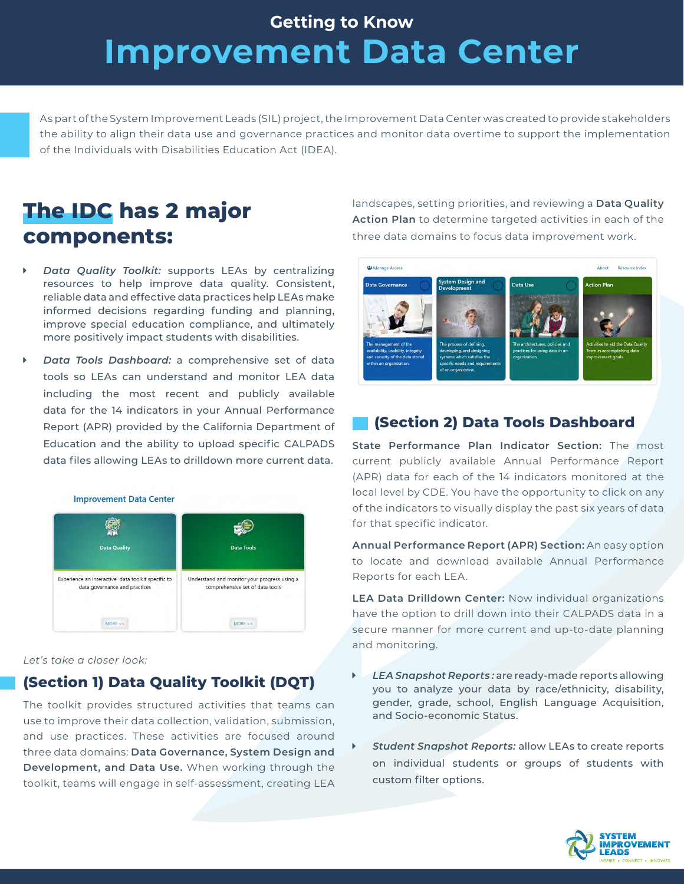# **Improvement Data Center Getting to Know**

As part of the System Improvement Leads (SIL) project, the Improvement Data Center was created to provide stakeholders the ability to align their data use and governance practices and monitor data overtime to support the implementation of the Individuals with Disabilities Education Act (IDEA).

## **The IDC has 2 major components:**

- *Data Quality Toolkit: supports LEAs by centralizing* resources to help improve data quality. Consistent, reliable data and effective data practices help LEAs make informed decisions regarding funding and planning, improve special education compliance, and ultimately more positively impact students with disabilities.
- *Data Tools Dashboard: a comprehensive set of data* tools so LEAs can understand and monitor LEA data including the most recent and publicly available data for the 14 indicators in your Annual Performance Report (APR) provided by the California Department of Education and the ability to upload specific CALPADS data files allowing LEAs to drilldown more current data.



*Let's take a closer look:*

### **(Section 1) Data Quality Toolkit (DQT)**

The toolkit provides structured activities that teams can use to improve their data collection, validation, submission, and use practices. These activities are focused around three data domains: **Data Governance, System Design and Development, and Data Use.** When working through the toolkit, teams will engage in self-assessment, creating LEA

landscapes, setting priorities, and reviewing a **Data Quality Action Plan** to determine targeted activities in each of the three data domains to focus data improvement work.



### **(Section 2) Data Tools Dashboard**

**State Performance Plan Indicator Section:** The most current publicly available Annual Performance Report (APR) data for each of the 14 indicators monitored at the local level by CDE. You have the opportunity to click on any of the indicators to visually display the past six years of data for that specific indicator.

**Annual Performance Report (APR) Section:** An easy option to locate and download available Annual Performance Reports for each LEA.

**LEA Data Drilldown Center:** Now individual organizations have the option to drill down into their CALPADS data in a secure manner for more current and up-to-date planning and monitoring.

- LEA Snapshot Reports: are ready-made reports allowing you to analyze your data by race/ethnicity, disability, gender, grade, school, English Language Acquisition, and Socio-economic Status.
- **Student Snapshot Reports: allow LEAs to create reports** on individual students or groups of students with custom filter options.